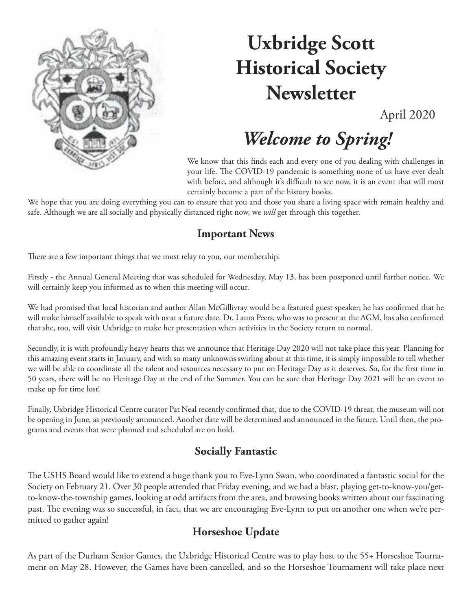

# **Uxbridge Scott Historical Society Newsletter**

April 2020

# *Welcome to Spring!*

We know that this finds each and every one of you dealing with challenges in your life. The COVID-19 pandemic is something none of us have ever dealt with before, and although it's difficult to see now, it is an event that will most certainly become a part of the history books.

We hope that you are doing everything you can to ensure that you and those you share a living space with remain healthy and safe. Although we are all socially and physically distanced right now, we *will* get through this together.

#### **Important News**

There are a few important things that we must relay to you, our membership.

Firstly - the Annual General Meeting that was scheduled for Wednesday, May 13, has been postponed until further notice. We will certainly keep you informed as to when this meeting will occur.

We had promised that local historian and author Allan McGillivray would be a featured guest speaker; he has confirmed that he will make himself available to speak with us at a future date. Dr. Laura Peers, who was to present at the AGM, has also confirmed that she, too, will visit Uxbridge to make her presentation when activities in the Society return to normal.

Secondly, it is with profoundly heavy hearts that we announce that Heritage Day 2020 will not take place this year. Planning for this amazing event starts in January, and with so many unknowns swirling about at this time, it is simply impossible to tell whether we will be able to coordinate all the talent and resources necessary to put on Heritage Day as it deserves. So, for the first time in 50 years, there will be no Heritage Day at the end of the Summer. You can be sure that Heritage Day 2021 will be an event to make up for time lost!

Finally, Uxbridge Historical Centre curator Pat Neal recently confirmed that, due to the COVID-19 threat, the museum will not be opening in June, as previously announced. Another date will be determined and announced in the future. Until then, the programs and events that were planned and scheduled are on hold.

#### **Socially Fantastic**

The USHS Board would like to extend a huge thank you to Eve-Lynn Swan, who coordinated a fantastic social for the Society on February 21. Over 30 people attended that Friday evening, and we had a blast, playing get-to-know-you/getto-know-the-township games, looking at odd artifacts from the area, and browsing books written about our fascinating past. The evening was so successful, in fact, that we are encouraging Eve-Lynn to put on another one when we're permitted to gather again!

#### **Horseshoe Update**

As part of the Durham Senior Games, the Uxbridge Historical Centre was to play host to the 55+ Horseshoe Tournament on May 28. However, the Games have been cancelled, and so the Horseshoe Tournament will take place next